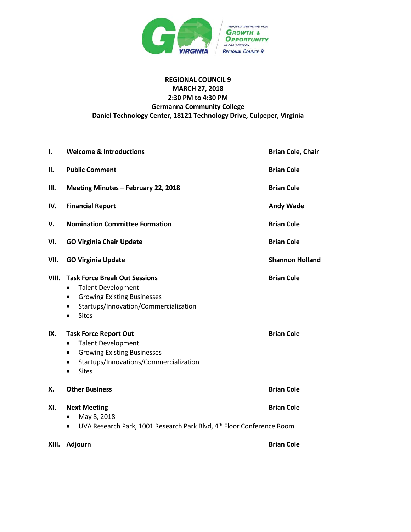

# **REGIONAL COUNCIL 9 MARCH 27, 2018 2:30 PM to 4:30 PM Germanna Community College Daniel Technology Center, 18121 Technology Drive, Culpeper, Virginia**

| I.           | <b>Welcome &amp; Introductions</b>                                                                                                                                                                                                                                                                                                                                                                                                    | <b>Brian Cole, Chair</b>               |  |
|--------------|---------------------------------------------------------------------------------------------------------------------------------------------------------------------------------------------------------------------------------------------------------------------------------------------------------------------------------------------------------------------------------------------------------------------------------------|----------------------------------------|--|
| П.           | <b>Public Comment</b>                                                                                                                                                                                                                                                                                                                                                                                                                 | <b>Brian Cole</b>                      |  |
| Ш.           | Meeting Minutes - February 22, 2018                                                                                                                                                                                                                                                                                                                                                                                                   | <b>Brian Cole</b>                      |  |
| IV.          | <b>Financial Report</b>                                                                                                                                                                                                                                                                                                                                                                                                               | <b>Andy Wade</b>                       |  |
| v.           | <b>Nomination Committee Formation</b>                                                                                                                                                                                                                                                                                                                                                                                                 | <b>Brian Cole</b>                      |  |
| VI.          | <b>GO Virginia Chair Update</b><br><b>Brian Cole</b>                                                                                                                                                                                                                                                                                                                                                                                  |                                        |  |
| VII.         | <b>GO Virginia Update</b>                                                                                                                                                                                                                                                                                                                                                                                                             | <b>Shannon Holland</b>                 |  |
| VIII.<br>IX. | <b>Task Force Break Out Sessions</b><br><b>Talent Development</b><br>$\bullet$<br><b>Growing Existing Businesses</b><br>$\bullet$<br>Startups/Innovation/Commercialization<br>$\bullet$<br><b>Sites</b><br>$\bullet$<br><b>Task Force Report Out</b><br><b>Talent Development</b><br>$\bullet$<br><b>Growing Existing Businesses</b><br>$\bullet$<br>Startups/Innovations/Commercialization<br>$\bullet$<br><b>Sites</b><br>$\bullet$ | <b>Brian Cole</b><br><b>Brian Cole</b> |  |
| Х.           | <b>Other Business</b>                                                                                                                                                                                                                                                                                                                                                                                                                 | <b>Brian Cole</b>                      |  |
| XI.          | <b>Next Meeting</b><br>May 8, 2018<br>UVA Research Park, 1001 Research Park Blvd, 4 <sup>th</sup> Floor Conference Room<br>$\bullet$                                                                                                                                                                                                                                                                                                  | <b>Brian Cole</b>                      |  |
| XIII.        | <b>Adjourn</b>                                                                                                                                                                                                                                                                                                                                                                                                                        | <b>Brian Cole</b>                      |  |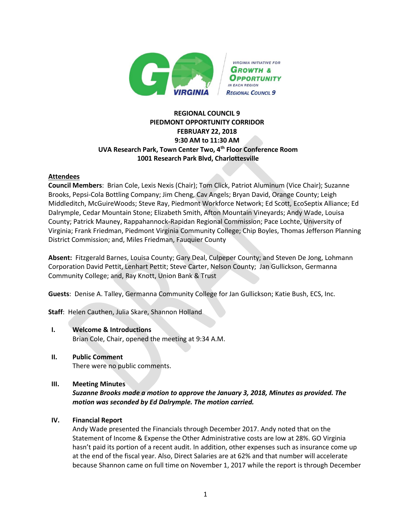

# **REGIONAL COUNCIL 9 PIEDMONT OPPORTUNITY CORRIDOR FEBRUARY 22, 2018 9:30 AM to 11:30 AM UVA Research Park, Town Center Two, 4th Floor Conference Room 1001 Research Park Blvd, Charlottesville**

## **Attendees**

**Council Members**: Brian Cole, Lexis Nexis (Chair); Tom Click, Patriot Aluminum (Vice Chair); Suzanne Brooks, Pepsi-Cola Bottling Company; Jim Cheng, Cav Angels; Bryan David, Orange County; Leigh Middleditch, McGuireWoods; Steve Ray, Piedmont Workforce Network; Ed Scott, EcoSeptix Alliance; Ed Dalrymple, Cedar Mountain Stone; Elizabeth Smith, Afton Mountain Vineyards; Andy Wade, Louisa County; Patrick Mauney, Rappahannock-Rapidan Regional Commission; Pace Lochte, University of Virginia; Frank Friedman, Piedmont Virginia Community College; Chip Boyles, Thomas Jefferson Planning District Commission; and, Miles Friedman, Fauquier County

**Absent:** Fitzgerald Barnes, Louisa County; Gary Deal, Culpeper County; and Steven De Jong, Lohmann Corporation David Pettit, Lenhart Pettit; Steve Carter, Nelson County; Jan Gullickson, Germanna Community College; and, Ray Knott, Union Bank & Trust

**Guests**: Denise A. Talley, Germanna Community College for Jan Gullickson; Katie Bush, ECS, Inc.

**Staff**: Helen Cauthen, Julia Skare, Shannon Holland

## **I. Welcome & Introductions**

Brian Cole, Chair, opened the meeting at 9:34 A.M.

**II. Public Comment** There were no public comments.

## **III. Meeting Minutes**

*Suzanne Brooks made a motion to approve the January 3, 2018, Minutes as provided. The motion was seconded by Ed Dalrymple. The motion carried.*

#### **IV. Financial Report**

Andy Wade presented the Financials through December 2017. Andy noted that on the Statement of Income & Expense the Other Administrative costs are low at 28%. GO Virginia hasn't paid its portion of a recent audit. In addition, other expenses such as insurance come up at the end of the fiscal year. Also, Direct Salaries are at 62% and that number will accelerate because Shannon came on full time on November 1, 2017 while the report is through December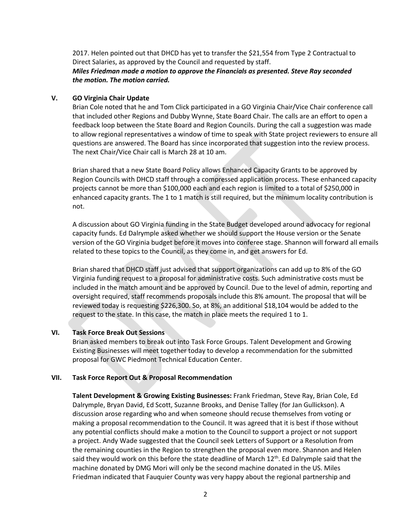2017. Helen pointed out that DHCD has yet to transfer the \$21,554 from Type 2 Contractual to Direct Salaries, as approved by the Council and requested by staff.

## *Miles Friedman made a motion to approve the Financials as presented. Steve Ray seconded the motion. The motion carried.*

## **V. GO Virginia Chair Update**

Brian Cole noted that he and Tom Click participated in a GO Virginia Chair/Vice Chair conference call that included other Regions and Dubby Wynne, State Board Chair. The calls are an effort to open a feedback loop between the State Board and Region Councils. During the call a suggestion was made to allow regional representatives a window of time to speak with State project reviewers to ensure all questions are answered. The Board has since incorporated that suggestion into the review process. The next Chair/Vice Chair call is March 28 at 10 am.

Brian shared that a new State Board Policy allows Enhanced Capacity Grants to be approved by Region Councils with DHCD staff through a compressed application process. These enhanced capacity projects cannot be more than \$100,000 each and each region is limited to a total of \$250,000 in enhanced capacity grants. The 1 to 1 match is still required, but the minimum locality contribution is not.

A discussion about GO Virginia funding in the State Budget developed around advocacy for regional capacity funds. Ed Dalrymple asked whether we should support the House version or the Senate version of the GO Virginia budget before it moves into conferee stage. Shannon will forward all emails related to these topics to the Council, as they come in, and get answers for Ed.

Brian shared that DHCD staff just advised that support organizations can add up to 8% of the GO Virginia funding request to a proposal for administrative costs. Such administrative costs must be included in the match amount and be approved by Council. Due to the level of admin, reporting and oversight required, staff recommends proposals include this 8% amount. The proposal that will be reviewed today is requesting \$226,300. So, at 8%, an additional \$18,104 would be added to the request to the state. In this case, the match in place meets the required 1 to 1.

#### **VI. Task Force Break Out Sessions**

Brian asked members to break out into Task Force Groups. Talent Development and Growing Existing Businesses will meet together today to develop a recommendation for the submitted proposal for GWC Piedmont Technical Education Center.

#### **VII. Task Force Report Out & Proposal Recommendation**

**Talent Development & Growing Existing Businesses:** Frank Friedman, Steve Ray, Brian Cole, Ed Dalrymple, Bryan David, Ed Scott, Suzanne Brooks, and Denise Talley (for Jan Gullickson). A discussion arose regarding who and when someone should recuse themselves from voting or making a proposal recommendation to the Council. It was agreed that it is best if those without any potential conflicts should make a motion to the Council to support a project or not support a project. Andy Wade suggested that the Council seek Letters of Support or a Resolution from the remaining counties in the Region to strengthen the proposal even more. Shannon and Helen said they would work on this before the state deadline of March  $12<sup>th</sup>$ . Ed Dalrymple said that the machine donated by DMG Mori will only be the second machine donated in the US. Miles Friedman indicated that Fauquier County was very happy about the regional partnership and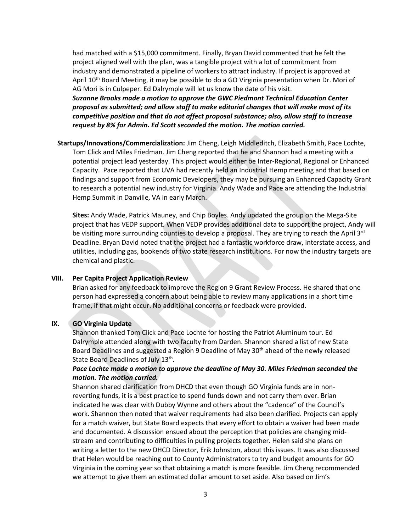had matched with a \$15,000 commitment. Finally, Bryan David commented that he felt the project aligned well with the plan, was a tangible project with a lot of commitment from industry and demonstrated a pipeline of workers to attract industry. If project is approved at April 10<sup>th</sup> Board Meeting, it may be possible to do a GO Virginia presentation when Dr. Mori of AG Mori is in Culpeper. Ed Dalrymple will let us know the date of his visit.

*Suzanne Brooks made a motion to approve the GWC Piedmont Technical Education Center proposal as submitted; and allow staff to make editorial changes that will make most of its competitive position and that do not affect proposal substance; also, allow staff to increase request by 8% for Admin. Ed Scott seconded the motion. The motion carried.*

**Startups/Innovations/Commercialization:** Jim Cheng, Leigh Middleditch, Elizabeth Smith, Pace Lochte, Tom Click and Miles Friedman. Jim Cheng reported that he and Shannon had a meeting with a potential project lead yesterday. This project would either be Inter-Regional, Regional or Enhanced Capacity. Pace reported that UVA had recently held an Industrial Hemp meeting and that based on findings and support from Economic Developers, they may be pursuing an Enhanced Capacity Grant to research a potential new industry for Virginia. Andy Wade and Pace are attending the Industrial Hemp Summit in Danville, VA in early March.

**Sites:** Andy Wade, Patrick Mauney, and Chip Boyles. Andy updated the group on the Mega-Site project that has VEDP support. When VEDP provides additional data to support the project, Andy will be visiting more surrounding counties to develop a proposal. They are trying to reach the April 3<sup>rd</sup> Deadline. Bryan David noted that the project had a fantastic workforce draw, interstate access, and utilities, including gas, bookends of two state research institutions. For now the industry targets are chemical and plastic.

#### **VIII. Per Capita Project Application Review**

Brian asked for any feedback to improve the Region 9 Grant Review Process. He shared that one person had expressed a concern about being able to review many applications in a short time frame, if that might occur. No additional concerns or feedback were provided.

#### **IX. GO Virginia Update**

Shannon thanked Tom Click and Pace Lochte for hosting the Patriot Aluminum tour. Ed Dalrymple attended along with two faculty from Darden. Shannon shared a list of new State Board Deadlines and suggested a Region 9 Deadline of May 30<sup>th</sup> ahead of the newly released State Board Deadlines of July 13<sup>th</sup>.

## *Pace Lochte made a motion to approve the deadline of May 30. Miles Friedman seconded the motion. The motion carried.*

Shannon shared clarification from DHCD that even though GO Virginia funds are in nonreverting funds, it is a best practice to spend funds down and not carry them over. Brian indicated he was clear with Dubby Wynne and others about the "cadence" of the Council's work. Shannon then noted that waiver requirements had also been clarified. Projects can apply for a match waiver, but State Board expects that every effort to obtain a waiver had been made and documented. A discussion ensued about the perception that policies are changing midstream and contributing to difficulties in pulling projects together. Helen said she plans on writing a letter to the new DHCD Director, Erik Johnston, about this issues. It was also discussed that Helen would be reaching out to County Administrators to try and budget amounts for GO Virginia in the coming year so that obtaining a match is more feasible. Jim Cheng recommended we attempt to give them an estimated dollar amount to set aside. Also based on Jim's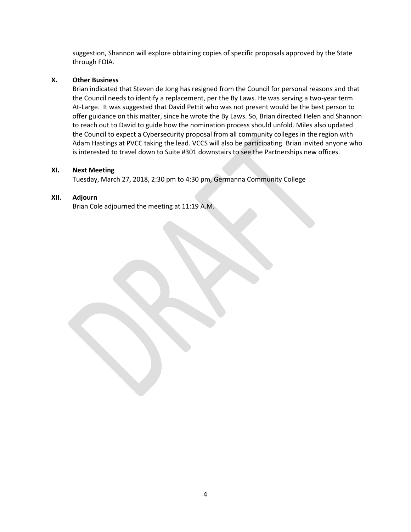suggestion, Shannon will explore obtaining copies of specific proposals approved by the State through FOIA.

#### **X. Other Business**

Brian indicated that Steven de Jong has resigned from the Council for personal reasons and that the Council needs to identify a replacement, per the By Laws. He was serving a two-year term At-Large. It was suggested that David Pettit who was not present would be the best person to offer guidance on this matter, since he wrote the By Laws. So, Brian directed Helen and Shannon to reach out to David to guide how the nomination process should unfold. Miles also updated the Council to expect a Cybersecurity proposal from all community colleges in the region with Adam Hastings at PVCC taking the lead. VCCS will also be participating. Brian invited anyone who is interested to travel down to Suite #301 downstairs to see the Partnerships new offices.

#### **XI. Next Meeting**

Tuesday, March 27, 2018, 2:30 pm to 4:30 pm, Germanna Community College

## **XII. Adjourn**

Brian Cole adjourned the meeting at 11:19 A.M.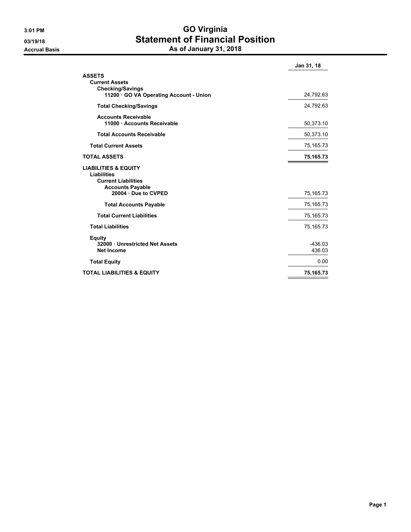# **3:01 PM GO Virginia 03/19/18 Statement of Financial Position Accrual Basis As of January 31, 2018**

|                                                                                                                                      | Jan 31, 18          |
|--------------------------------------------------------------------------------------------------------------------------------------|---------------------|
| <b>ASSETS</b><br><b>Current Assets</b><br><b>Checking/Savings</b>                                                                    |                     |
| 11200 · GO VA Operating Account - Union                                                                                              | 24,792.63           |
| <b>Total Checking/Savings</b>                                                                                                        | 24,792.63           |
| <b>Accounts Receivable</b><br>11000 Accounts Receivable                                                                              | 50,373.10           |
| <b>Total Accounts Receivable</b>                                                                                                     | 50,373.10           |
| <b>Total Current Assets</b>                                                                                                          | 75,165.73           |
| <b>TOTAL ASSETS</b>                                                                                                                  | 75,165.73           |
| <b>LIABILITIES &amp; EQUITY</b><br><b>Liabilities</b><br><b>Current Liabilities</b><br><b>Accounts Payable</b><br>20004 Due to CVPED | 75,165.73           |
| <b>Total Accounts Payable</b>                                                                                                        | 75,165.73           |
| <b>Total Current Liabilities</b>                                                                                                     | 75,165.73           |
| <b>Total Liabilities</b>                                                                                                             | 75,165.73           |
| <b>Equity</b><br>32000 Unrestricted Net Assets<br><b>Net Income</b>                                                                  | $-436.03$<br>436.03 |
| <b>Total Equity</b>                                                                                                                  | 0.00                |
| <b>TOTAL LIABILITIES &amp; EQUITY</b>                                                                                                | 75,165.73           |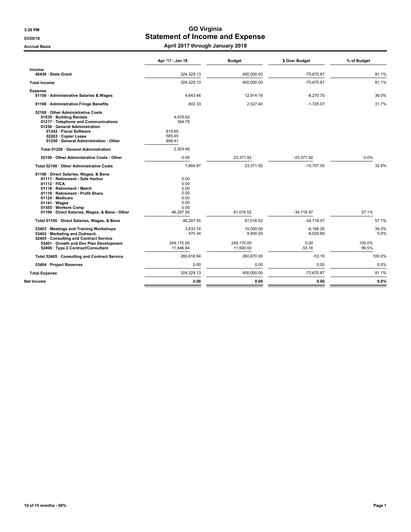# **3:20 PM GO Virginia 03/20/18 Statement of Income and Expense**

**Accrual Basis April 2017 through January 2018**

|                                                                                                                                                                                                                                              | Apr '17 - Jan 18                                     | <b>Budget</b>                                    | \$ Over Budget                                 | % of Budget                      |
|----------------------------------------------------------------------------------------------------------------------------------------------------------------------------------------------------------------------------------------------|------------------------------------------------------|--------------------------------------------------|------------------------------------------------|----------------------------------|
| Income                                                                                                                                                                                                                                       |                                                      |                                                  |                                                |                                  |
| 40450 · State Grant                                                                                                                                                                                                                          | 324,329.13                                           | 400.000.00                                       | $-75.670.87$                                   | 81.1%                            |
| <b>Total Income</b>                                                                                                                                                                                                                          | 324,329.13                                           | 400,000.00                                       | $-75.670.87$                                   | 81.1%                            |
| <b>Expense</b>                                                                                                                                                                                                                               |                                                      |                                                  |                                                |                                  |
| 01150 · Administrative Salaries & Wages                                                                                                                                                                                                      | 4.643.46                                             | 12.914.16                                        | $-8.270.70$                                    | 36.0%                            |
| 01160 · Administrative Fringe Benefits                                                                                                                                                                                                       | 802.33                                               | 2.527.40                                         | $-1,725.07$                                    | 31.7%                            |
| 52100 Other Administrative Costs<br>01535 · Building Rentals<br>01217 · Telephone and Communications<br>01250 · General Administration<br>01242 · Fiscal Software<br>02263 · Copier Lease<br>01250 · General Administration - Other          | 4,976.62<br>384.79<br>819.60<br>585.45<br>898.41     |                                                  |                                                |                                  |
| Total 01250 · General Administration                                                                                                                                                                                                         | 2.303.46                                             |                                                  |                                                |                                  |
| 52100 Other Administrative Costs - Other                                                                                                                                                                                                     | 0.00                                                 | 23,371.92                                        | $-23,371.92$                                   | 0.0%                             |
| Total 52100 · Other Administrative Costs                                                                                                                                                                                                     | 7.664.87                                             | 23,371.92                                        | $-15,707.05$                                   | 32.8%                            |
| 01100 · Direct Salaries, Wages, & Bene<br>01111 · Retirement - Safe Harbor<br>$01112 \cdot FICA$<br>01118 · Retirement - Match<br>01119 · Retirement - Profit Share<br>$01124 \cdot$ Medicare<br>$01141 \cdot Wages$<br>01555 · Workers Comp | 0.00<br>0.00<br>0.00<br>0.00<br>0.00<br>0.00<br>0.00 |                                                  |                                                |                                  |
| 01100 · Direct Salaries, Wages, & Bene - Other                                                                                                                                                                                               | 46,297.55                                            | 81,016.52                                        | $-34,718.97$                                   | 57.1%                            |
| Total 01100 · Direct Salaries, Wages, & Bene                                                                                                                                                                                                 | 46.297.55                                            | 81.016.52                                        | $-34.718.97$                                   | 57.1%                            |
| 53403 · Meetings and Training Workshops<br>53402 · Marketing and Outreach<br>52405 · Consulting and Contract Service<br>53401 · Growth and Dev Plan Development<br>52406 · Type 2 Contract/Consultant                                        | 3,833.74<br>470.34<br>249.170.00<br>11,446.84        | 10,000.00<br>9,500.00<br>249.170.00<br>11,500.00 | $-6,166.26$<br>$-9,029.66$<br>0.00<br>$-53.16$ | 38.3%<br>5.0%<br>100.0%<br>99.5% |
| Total 52405 · Consulting and Contract Service                                                                                                                                                                                                | 260.616.84                                           | 260,670.00                                       | $-53.16$                                       | 100.0%                           |
| 53404 · Project Reserves                                                                                                                                                                                                                     | 0.00                                                 | 0.00                                             | 0.00                                           | 0.0%                             |
| <b>Total Expense</b>                                                                                                                                                                                                                         | 324,329.13                                           | 400,000.00                                       | $-75,670.87$                                   | 81.1%                            |
|                                                                                                                                                                                                                                              |                                                      |                                                  |                                                |                                  |
| Net Income                                                                                                                                                                                                                                   | 0.00                                                 | 0.00                                             | 0.00                                           | 0.0%                             |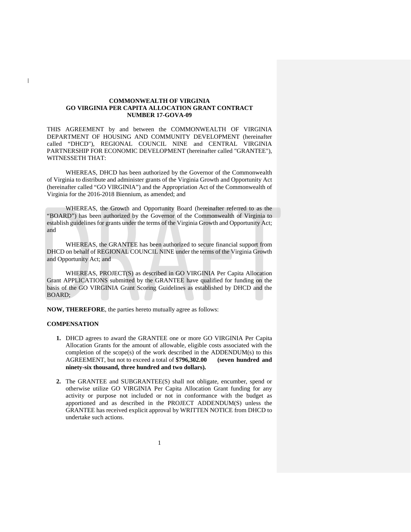#### **COMMONWEALTH OF VIRGINIA GO VIRGINIA PER CAPITA ALLOCATION GRANT CONTRACT NUMBER 17-GOVA-09**

THIS AGREEMENT by and between the COMMONWEALTH OF VIRGINIA DEPARTMENT OF HOUSING AND COMMUNITY DEVELOPMENT (hereinafter called "DHCD"), REGIONAL COUNCIL NINE and CENTRAL VIRGINIA PARTNERSHIP FOR ECONOMIC DEVELOPMENT (hereinafter called "GRANTEE"), WITNESSETH THAT:

WHEREAS, DHCD has been authorized by the Governor of the Commonwealth of Virginia to distribute and administer grants of the Virginia Growth and Opportunity Act (hereinafter called "GO VIRGINIA") and the Appropriation Act of the Commonwealth of Virginia for the 2016-2018 Biennium, as amended; and

WHEREAS, the Growth and Opportunity Board (hereinafter referred to as the "BOARD") has been authorized by the Governor of the Commonwealth of Virginia to establish guidelines for grants under the terms of the Virginia Growth and Opportunity Act; and

WHEREAS, the GRANTEE has been authorized to secure financial support from DHCD on behalf of REGIONAL COUNCIL NINE under the terms of the Virginia Growth and Opportunity Act; and

WHEREAS, PROJECT(S) as described in GO VIRGINIA Per Capita Allocation Grant APPLICATIONS submitted by the GRANTEE have qualified for funding on the basis of the GO VIRGINIA Grant Scoring Guidelines as established by DHCD and the BOARD;

**NOW, THEREFORE**, the parties hereto mutually agree as follows:

#### **COMPENSATION**

 $\mathbf{I}$ 

- **1.** DHCD agrees to award the GRANTEE one or more GO VIRGINIA Per Capita Allocation Grants for the amount of allowable, eligible costs associated with the completion of the scope(s) of the work described in the ADDENDUM(s) to this AGREEMENT, but not to exceed a total of **\$796,302.00 (seven hundred and ninety-six thousand, three hundred and two dollars).**
- **2.** The GRANTEE and SUBGRANTEE(S) shall not obligate, encumber, spend or otherwise utilize GO VIRGINIA Per Capita Allocation Grant funding for any activity or purpose not included or not in conformance with the budget as apportioned and as described in the PROJECT ADDENDUM(S) unless the GRANTEE has received explicit approval by WRITTEN NOTICE from DHCD to undertake such actions.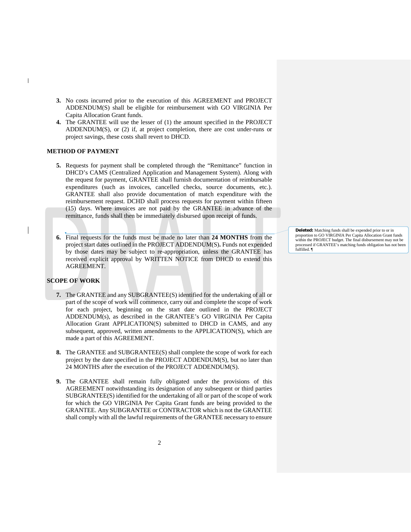- **3.** No costs incurred prior to the execution of this AGREEMENT and PROJECT ADDENDUM(S) shall be eligible for reimbursement with GO VIRGINIA Per Capita Allocation Grant funds.
- **4.** The GRANTEE will use the lesser of (1) the amount specified in the PROJECT ADDENDUM(S), or (2) if, at project completion, there are cost under-runs or project savings, these costs shall revert to DHCD.

#### **METHOD OF PAYMENT**

 $\mathsf{l}$ 

- **5.** Requests for payment shall be completed through the "Remittance" function in DHCD's CAMS (Centralized Application and Management System). Along with the request for payment, GRANTEE shall furnish documentation of reimbursable expenditures (such as invoices, cancelled checks, source documents, etc.). GRANTEE shall also provide documentation of match expenditure with the reimbursement request. DCHD shall process requests for payment within fifteen (15) days. Where invoices are not paid by the GRANTEE in advance of the remittance, funds shall then be immediately disbursed upon receipt of funds.
- **6.** Final requests for the funds must be made no later than **24 MONTHS** from the project start dates outlined in the PROJECT ADDENDUM(S)**.** Funds not expended by those dates may be subject to re-appropriation, unless the GRANTEE has received explicit approval by WRITTEN NOTICE from DHCD to extend this AGREEMENT.

**Deleted:** Matching funds shall be expended prior to or in proportion to GO VIRGINIA Per Capita Allocation Grant funds within the PROJECT budget. The final disbursement may not be processed if GRANTEE's matching funds obligation has not been fulfilled. ¶

#### **SCOPE OF WORK**

- **7.** The GRANTEE and any SUBGRANTEE(S) identified for the undertaking of all or part of the scope of work will commence, carry out and complete the scope of work for each project, beginning on the start date outlined in the PROJECT ADDENDUM(s), as described in the GRANTEE's GO VIRGINIA Per Capita Allocation Grant APPLICATION(S) submitted to DHCD in CAMS, and any subsequent, approved, written amendments to the APPLICATION(S), which are made a part of this AGREEMENT.
- **8.** The GRANTEE and SUBGRANTEE(S) shall complete the scope of work for each project by the date specified in the PROJECT ADDENDUM(S), but no later than 24 MONTHS after the execution of the PROJECT ADDENDUM(S).
- **9.** The GRANTEE shall remain fully obligated under the provisions of this AGREEMENT notwithstanding its designation of any subsequent or third parties SUBGRANTEE(S) identified for the undertaking of all or part of the scope of work for which the GO VIRGINIA Per Capita Grant funds are being provided to the GRANTEE. Any SUBGRANTEE or CONTRACTOR which is not the GRANTEE shall comply with all the lawful requirements of the GRANTEE necessary to ensure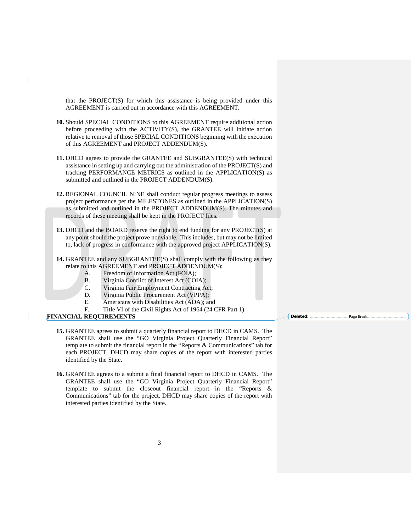that the PROJECT(S) for which this assistance is being provided under this AGREEMENT is carried out in accordance with this AGREEMENT.

- **10.** Should SPECIAL CONDITIONS to this AGREEMENT require additional action before proceeding with the ACTIVITY(S), the GRANTEE will initiate action relative to removal of those SPECIAL CONDITIONS beginning with the execution of this AGREEMENT and PROJECT ADDENDUM(S).
- **11.** DHCD agrees to provide the GRANTEE and SUBGRANTEE(S) with technical assistance in setting up and carrying out the administration of the PROJECT(S) and tracking PERFORMANCE METRICS as outlined in the APPLICATION(S) as submitted and outlined in the PROJECT ADDENDUM(S).
- **12.** REGIONAL COUNCIL NINE shall conduct regular progress meetings to assess project performance per the MILESTONES as outlined in the APPLICATION(S) as submitted and outlined in the PROJECT ADDENDUM(S). The minutes and records of these meeting shall be kept in the PROJECT files.
- **13.** DHCD and the BOARD reserve the right to end funding for any PROJECT(S) at any point should the project prove nonviable. This includes, but may not be limited to, lack of progress in conformance with the approved project APPLICATION(S).
- **14.** GRANTEE and any SUBGRANTEE(S) shall comply with the following as they relate to this AGREEMENT and PROJECT ADDENDUM(S):
	- A. Freedom of Information Act (FOIA);
	- B. Virginia Conflict of Interest Act (COIA);<br>C. Virginia Fair Employment Contracting Act
	-
	- C. Virginia Fair Employment Contracting Act;<br>D. Virginia Public Procurement Act (VPPA): Virginia Public Procurement Act (VPPA);
	- E. Americans with Disabilities Act (ADA); and
	- F. Title VI of the Civil Rights Act of 1964 (24 CFR Part 1).

#### **FINANCIAL REQUIREMENTS**

 $\mathsf{l}$ 

- **15.** GRANTEE agrees to submit a quarterly financial report to DHCD in CAMS. The GRANTEE shall use the "GO Virginia Project Quarterly Financial Report" template to submit the financial report in the "Reports & Communications" tab for each PROJECT. DHCD may share copies of the report with interested parties identified by the State.
- **16.** GRANTEE agrees to a submit a final financial report to DHCD in CAMS. The GRANTEE shall use the "GO Virginia Project Quarterly Financial Report" template to submit the closeout financial report in the "Reports & Communications" tab for the project. DHCD may share copies of the report with interested parties identified by the State.

**Deleted:** <u>**Page Break-**</u>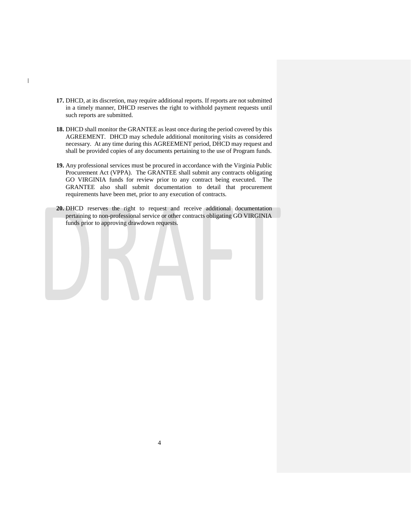**17.** DHCD, at its discretion, may require additional reports. If reports are not submitted in a timely manner, DHCD reserves the right to withhold payment requests until such reports are submitted.

 $\mathbf{I}$ 

- **18.** DHCD shall monitor the GRANTEE as least once during the period covered by this AGREEMENT. DHCD may schedule additional monitoring visits as considered necessary. At any time during this AGREEMENT period, DHCD may request and shall be provided copies of any documents pertaining to the use of Program funds.
- **19.** Any professional services must be procured in accordance with the Virginia Public Procurement Act (VPPA). The GRANTEE shall submit any contracts obligating GO VIRGINIA funds for review prior to any contract being executed. The GRANTEE also shall submit documentation to detail that procurement requirements have been met, prior to any execution of contracts.
- **20.** DHCD reserves the right to request and receive additional documentation pertaining to non-professional service or other contracts obligating GO VIRGINIA funds prior to approving drawdown requests.

4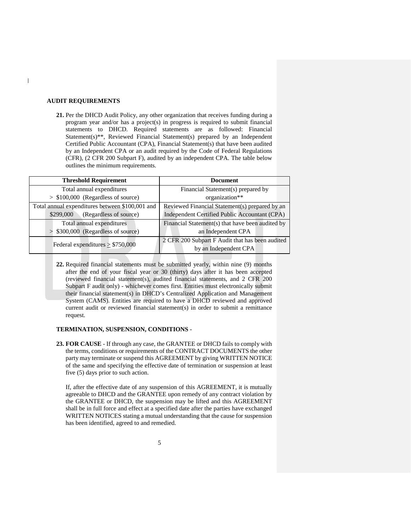#### **AUDIT REQUIREMENTS**

 $\mathbf{I}$ 

**21.** Per the DHCD Audit Policy, any other organization that receives funding during a program year and/or has a project(s) in progress is required to submit financial statements to DHCD. Required statements are as followed: Financial Statement(s)\*\*, Reviewed Financial Statement(s) prepared by an Independent Certified Public Accountant (CPA), Financial Statement(s) that have been audited by an Independent CPA or an audit required by the Code of Federal Regulations (CFR), (2 CFR 200 Subpart F), audited by an independent CPA. The table below outlines the minimum requirements.

| <b>Threshold Requirement</b>                    | <b>Document</b>                                  |  |  |
|-------------------------------------------------|--------------------------------------------------|--|--|
| Total annual expenditures                       | Financial Statement(s) prepared by               |  |  |
| $>$ \$100,000 (Regardless of source)            | organization**                                   |  |  |
| Total annual expenditures between \$100,001 and | Reviewed Financial Statement(s) prepared by an   |  |  |
| (Regardless of source)<br>\$299,000             | Independent Certified Public Accountant (CPA)    |  |  |
| Total annual expenditures                       | Financial Statement(s) that have been audited by |  |  |
| \$300,000 (Regardless of source)                | an Independent CPA                               |  |  |
| Federal expenditures $\geq$ \$750,000           | 2 CFR 200 Subpart F Audit that has been audited  |  |  |
|                                                 | by an Independent CPA                            |  |  |

**22.** Required financial statements must be submitted yearly, within nine (9) months after the end of your fiscal year or 30 (thirty) days after it has been accepted (reviewed financial statement(s), audited financial statements, and 2 CFR 200 Subpart F audit only) - whichever comes first. Entities must electronically submit their financial statement(s) in DHCD's Centralized Application and Management System (CAMS). Entities are required to have a DHCD reviewed and approved current audit or reviewed financial statement(s) in order to submit a remittance request.

#### **TERMINATION, SUSPENSION, CONDITIONS** -

**23. FOR CAUSE** - If through any case, the GRANTEE or DHCD fails to comply with the terms, conditions or requirements of the CONTRACT DOCUMENTS the other party may terminate or suspend this AGREEMENT by giving WRITTEN NOTICE of the same and specifying the effective date of termination or suspension at least five (5) days prior to such action.

If, after the effective date of any suspension of this AGREEMENT, it is mutually agreeable to DHCD and the GRANTEE upon remedy of any contract violation by the GRANTEE or DHCD, the suspension may be lifted and this AGREEMENT shall be in full force and effect at a specified date after the parties have exchanged WRITTEN NOTICES stating a mutual understanding that the cause for suspension has been identified, agreed to and remedied.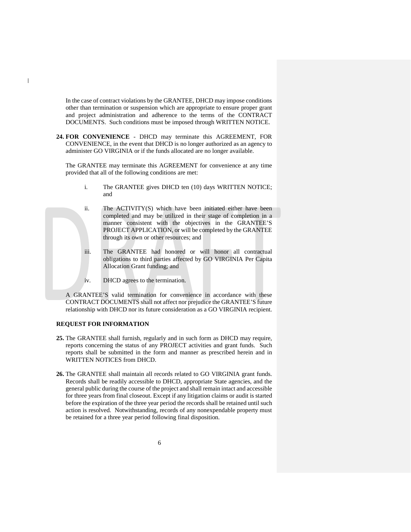In the case of contract violations by the GRANTEE, DHCD may impose conditions other than termination or suspension which are appropriate to ensure proper grant and project administration and adherence to the terms of the CONTRACT DOCUMENTS. Such conditions must be imposed through WRITTEN NOTICE.

**24. FOR CONVENIENCE** - DHCD may terminate this AGREEMENT, FOR CONVENIENCE, in the event that DHCD is no longer authorized as an agency to administer GO VIRGINIA or if the funds allocated are no longer available.

The GRANTEE may terminate this AGREEMENT for convenience at any time provided that all of the following conditions are met:

- i. The GRANTEE gives DHCD ten (10) days WRITTEN NOTICE; and
- ii. The ACTIVITY(S) which have been initiated either have been completed and may be utilized in their stage of completion in a manner consistent with the objectives in the GRANTEE'S PROJECT APPLICATION, or will be completed by the GRANTEE through its own or other resources; and
- iii. The GRANTEE had honored or will honor all contractual obligations to third parties affected by GO VIRGINIA Per Capita Allocation Grant funding; and
- iv. DHCD agrees to the termination.

A GRANTEE'S valid termination for convenience in accordance with these CONTRACT DOCUMENTS shall not affect nor prejudice the GRANTEE'S future relationship with DHCD nor its future consideration as a GO VIRGINIA recipient.

#### **REQUEST FOR INFORMATION**

 $\mathsf{l}$ 

- **25.** The GRANTEE shall furnish, regularly and in such form as DHCD may require, reports concerning the status of any PROJECT activities and grant funds. Such reports shall be submitted in the form and manner as prescribed herein and in WRITTEN NOTICES from DHCD.
- **26.** The GRANTEE shall maintain all records related to GO VIRGINIA grant funds. Records shall be readily accessible to DHCD, appropriate State agencies, and the general public during the course of the project and shall remain intact and accessible for three years from final closeout. Except if any litigation claims or audit is started before the expiration of the three year period the records shall be retained until such action is resolved. Notwithstanding, records of any nonexpendable property must be retained for a three year period following final disposition.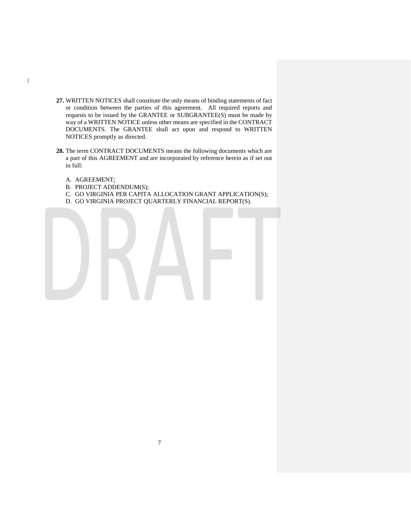- **27.** WRITTEN NOTICES shall constitute the only means of binding statements of fact or condition between the parties of this agreement. All required reports and requests to be issued by the GRANTEE or SUBGRANTEE(S) must be made by way of a WRITTEN NOTICE unless other means are specified in the CONTRACT DOCUMENTS. The GRANTEE shall act upon and respond to WRITTEN NOTICES promptly as directed.
- **28.** The term CONTRACT DOCUMENTS means the following documents which are a part of this AGREEMENT and are incorporated by reference herein as if set out in full:
	- A. AGREEMENT;

 $\mathbf{I}$ 

- B. PROJECT ADDENDUM(S);
- C. GO VIRGINIA PER CAPITA ALLOCATION GRANT APPLICATION(S);
- D. GO VIRGINIA PROJECT QUARTERLY FINANCIAL REPORT(S).

7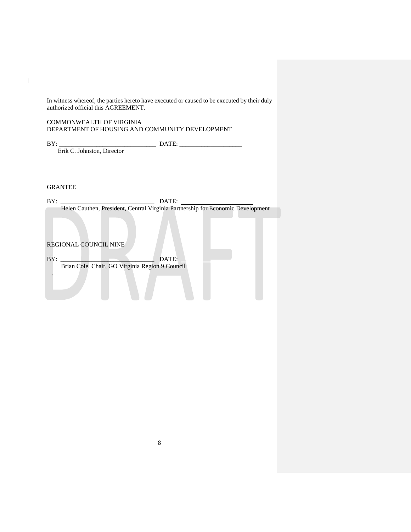In witness whereof, the parties hereto have executed or caused to be executed by their duly authorized official this AGREEMENT.

#### COMMONWEALTH OF VIRGINIA DEPARTMENT OF HOUSING AND COMMUNITY DEVELOPMENT

BY: \_\_\_\_\_\_\_\_\_\_\_\_\_\_\_\_\_\_\_\_\_\_\_\_\_\_\_\_\_\_\_ DATE: \_\_\_\_\_\_\_\_\_\_\_\_\_\_\_\_\_\_\_\_ Erik C. Johnston, Director

GRANTEE

 $\mathbf{l}$ 

| BY: | DATE:                                                                           |
|-----|---------------------------------------------------------------------------------|
|     | Helen Cauthen, President, Central Virginia Partnership for Economic Development |
|     |                                                                                 |
|     | <b>REGIONAL COUNCIL NINE</b>                                                    |
| BY: | DATE:                                                                           |
|     | Brian Cole, Chair, GO Virginia Region 9 Council                                 |
|     |                                                                                 |
|     |                                                                                 |
|     |                                                                                 |
|     |                                                                                 |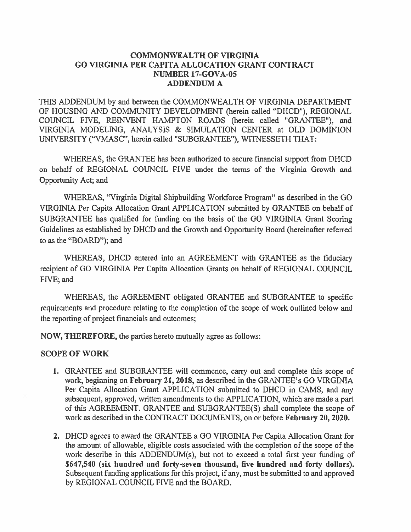# **COMMONWEALTH OF VIRGINIA GO VIRGINIA PER CAPITA ALLOCATION GRANT CONTRACT** NUMBER 17-GOVA-05 **ADDENDUM A**

THIS ADDENDUM by and between the COMMONWEALTH OF VIRGINIA DEPARTMENT OF HOUSING AND COMMUNITY DEVELOPMENT (herein called "DHCD"), REGIONAL COUNCIL FIVE, REINVENT HAMPTON ROADS (herein called "GRANTEE"), and VIRGINIA MODELING, ANALYSIS & SIMULATION CENTER at OLD DOMINION UNIVERSITY ("VMASC", herein called "SUBGRANTEE"), WITNESSETH THAT:

WHEREAS, the GRANTEE has been authorized to secure financial support from DHCD on behalf of REGIONAL COUNCIL FIVE under the terms of the Virginia Growth and Opportunity Act; and

WHEREAS, "Virginia Digital Shipbuilding Workforce Program" as described in the GO VIRGINIA Per Capita Allocation Grant APPLICATION submitted by GRANTEE on behalf of SUBGRANTEE has qualified for funding on the basis of the GO VIRGINIA Grant Scoring Guidelines as established by DHCD and the Growth and Opportunity Board (hereinafter referred to as the "BOARD"); and

WHEREAS, DHCD entered into an AGREEMENT with GRANTEE as the fiduciary recipient of GO VIRGINIA Per Capita Allocation Grants on behalf of REGIONAL COUNCIL FIVE; and

WHEREAS, the AGREEMENT obligated GRANTEE and SUBGRANTEE to specific requirements and procedure relating to the completion of the scope of work outlined below and the reporting of project financials and outcomes;

NOW, THEREFORE, the parties hereto mutually agree as follows:

# **SCOPE OF WORK**

- 1. GRANTEE and SUBGRANTEE will commence, carry out and complete this scope of work, beginning on February 21, 2018, as described in the GRANTEE's GO VIRGINIA Per Capita Allocation Grant APPLICATION submitted to DHCD in CAMS, and any subsequent, approved, written amendments to the APPLICATION, which are made a part of this AGREEMENT. GRANTEE and SUBGRANTEE(S) shall complete the scope of work as described in the CONTRACT DOCUMENTS, on or before February 20, 2020.
- 2. DHCD agrees to award the GRANTEE a GO VIRGINIA Per Capita Allocation Grant for the amount of allowable, eligible costs associated with the completion of the scope of the work describe in this ADDENDUM(s), but not to exceed a total first year funding of \$647,540 (six hundred and forty-seven thousand, five hundred and forty dollars). Subsequent funding applications for this project, if any, must be submitted to and approved by REGIONAL COUNCIL FIVE and the BOARD.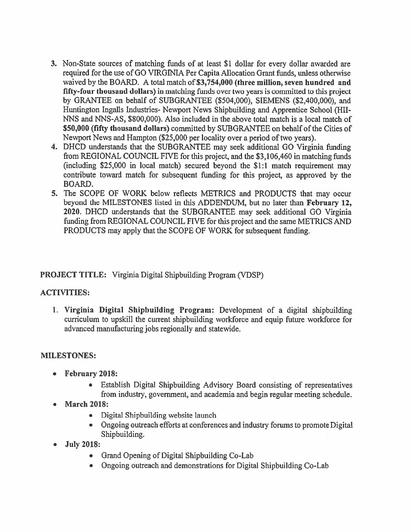- 3. Non-State sources of matching funds of at least \$1 dollar for every dollar awarded are required for the use of GO VIRGINIA Per Capita Allocation Grant funds, unless otherwise waived by the BOARD. A total match of \$3,754,000 (three million, seven hundred and fifty-four thousand dollars) in matching funds over two years is committed to this project by GRANTEE on behalf of SUBGRANTEE (\$504,000), SIEMENS (\$2,400,000), and Huntington Ingalls Industries- Newport News Shipbuilding and Apprentice School (HII-NNS and NNS-AS, \$800,000). Also included in the above total match is a local match of \$50,000 (fifty thousand dollars) committed by SUBGRANTEE on behalf of the Cities of Newport News and Hampton (\$25,000 per locality over a period of two years).
- 4. DHCD understands that the SUBGRANTEE may seek additional GO Virginia funding from REGIONAL COUNCIL FIVE for this project, and the \$3,106,460 in matching funds (including \$25,000 in local match) secured beyond the \$1:1 match requirement may contribute toward match for subsequent funding for this project, as approved by the BOARD.
- 5. The SCOPE OF WORK below reflects METRICS and PRODUCTS that may occur beyond the MILESTONES listed in this ADDENDUM, but no later than February 12, 2020. DHCD understands that the SUBGRANTEE may seek additional GO Virginia funding from REGIONAL COUNCIL FIVE for this project and the same METRICS AND PRODUCTS may apply that the SCOPE OF WORK for subsequent funding.

# **PROJECT TITLE:** Virginia Digital Shipbuilding Program (VDSP)

# **ACTIVITIES:**

1. Virginia Digital Shipbuilding Program: Development of a digital shipbuilding curriculum to upskill the current shipbuilding workforce and equip future workforce for advanced manufacturing jobs regionally and statewide.

# **MILESTONES:**

- February 2018:
	- Establish Digital Shipbuilding Advisory Board consisting of representatives from industry, government, and academia and begin regular meeting schedule.
- March 2018:
	- Digital Shipbuilding website launch
	- Ongoing outreach efforts at conferences and industry forums to promote Digital Shipbuilding.
- $\bullet$  July 2018:
	- Grand Opening of Digital Shipbuilding Co-Lab
	- Ongoing outreach and demonstrations for Digital Shipbuilding Co-Lab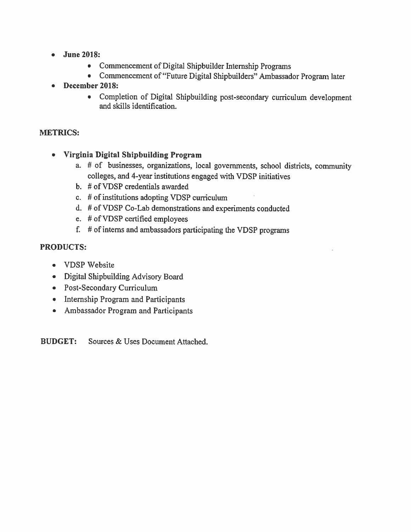- June 2018:
	- Commencement of Digital Shipbuilder Internship Programs
	- Commencement of "Future Digital Shipbuilders" Ambassador Program later
- December 2018:
	- Completion of Digital Shipbuilding post-secondary curriculum development and skills identification.

# **METRICS:**

- Virginia Digital Shipbuilding Program
	- a. # of businesses, organizations, local governments, school districts, community colleges, and 4-year institutions engaged with VDSP initiatives
	- b. # of VDSP credentials awarded
	- c. # of institutions adopting VDSP curriculum
	- d. # of VDSP Co-Lab demonstrations and experiments conducted
	- e. # of VDSP certified employees
	- f.  $#$  of interns and ambassadors participating the VDSP programs

# **PRODUCTS:**

- VDSP Website
- Digital Shipbuilding Advisory Board
- Post-Secondary Curriculum
- Internship Program and Participants
- Ambassador Program and Participants

**BUDGET:** Sources & Uses Document Attached.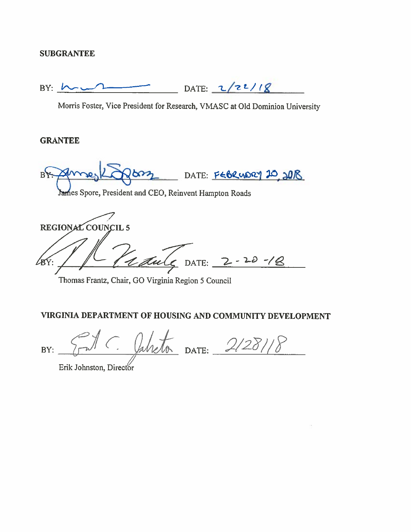# **SUBGRANTEE**

DATE:  $2/22/18$  $BY: M \sim L$ 

Morris Foster, Vice President for Research, VMASC at Old Dominion University

# **GRANTEE**

ÆÝ:

DATE: FEBRUDRY 20 2018 လက James Spore, President and CEO, Reinvent Hampton Roads REGIONAL COUNCIL 5 1 aule DATE: 2-20-18

Thomas Frantz, Chair, GO Virginia Region 5 Council

# VIRGINIA DEPARTMENT OF HOUSING AND COMMUNITY DEVELOPMENT

Whether DATE: 2128118 BY:

Erik Johnston, Director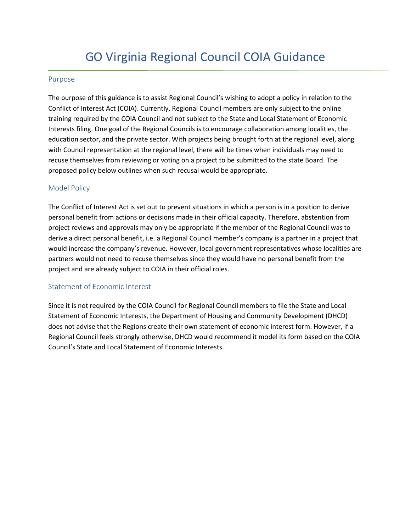# GO Virginia Regional Council COIA Guidance

## Purpose

The purpose of this guidance is to assist Regional Council's wishing to adopt a policy in relation to the Conflict of Interest Act (COIA). Currently, Regional Council members are only subject to the online training required by the COIA Council and not subject to the State and Local Statement of Economic Interests filing. One goal of the Regional Councils is to encourage collaboration among localities, the education sector, and the private sector. With projects being brought forth at the regional level, along with Council representation at the regional level, there will be times when individuals may need to recuse themselves from reviewing or voting on a project to be submitted to the state Board. The proposed policy below outlines when such recusal would be appropriate.

## Model Policy

The Conflict of Interest Act is set out to prevent situations in which a person is in a position to derive personal benefit from actions or decisions made in their official capacity. Therefore, abstention from project reviews and approvals may only be appropriate if the member of the Regional Council was to derive a direct personal benefit, i.e. a Regional Council member's company is a partner in a project that would increase the company's revenue. However, local government representatives whose localities are partners would not need to recuse themselves since they would have no personal benefit from the project and are already subject to COIA in their official roles.

# Statement of Economic Interest

Since it is not required by the COIA Council for Regional Council members to file the State and Local Statement of Economic Interests, the Department of Housing and Community Development (DHCD) does not advise that the Regions create their own statement of economic interest form. However, if a Regional Council feels strongly otherwise, DHCD would recommend it model its form based on the COIA Council's State and Local Statement of Economic Interests.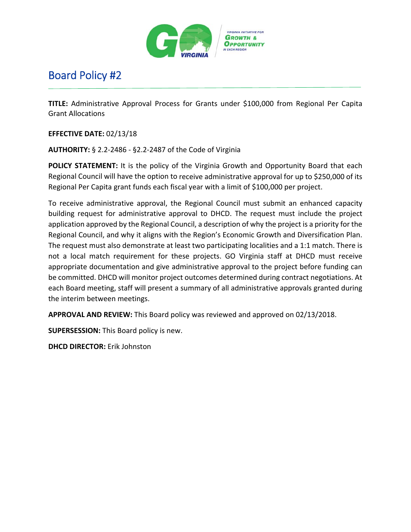

# Board Policy #2

**TITLE:** Administrative Approval Process for Grants under \$100,000 from Regional Per Capita Grant Allocations

# **EFFECTIVE DATE:** 02/13/18

**AUTHORITY:** § 2.2‐2486 ‐ §2.2‐2487 of the Code of Virginia

**POLICY STATEMENT:** It is the policy of the Virginia Growth and Opportunity Board that each Regional Council will have the option to receive administrative approval for up to \$250,000 of its Regional Per Capita grant funds each fiscal year with a limit of \$100,000 per project.

To receive administrative approval, the Regional Council must submit an enhanced capacity building request for administrative approval to DHCD. The request must include the project application approved by the Regional Council, a description of why the project is a priority for the Regional Council, and why it aligns with the Region's Economic Growth and Diversification Plan. The request must also demonstrate at least two participating localities and a 1:1 match. There is not a local match requirement for these projects. GO Virginia staff at DHCD must receive appropriate documentation and give administrative approval to the project before funding can be committed. DHCD will monitor project outcomes determined during contract negotiations. At each Board meeting, staff will present a summary of all administrative approvals granted during the interim between meetings.

**APPROVAL AND REVIEW:** This Board policy was reviewed and approved on 02/13/2018.

**SUPERSESSION:** This Board policy is new.

**DHCD DIRECTOR:** Erik Johnston